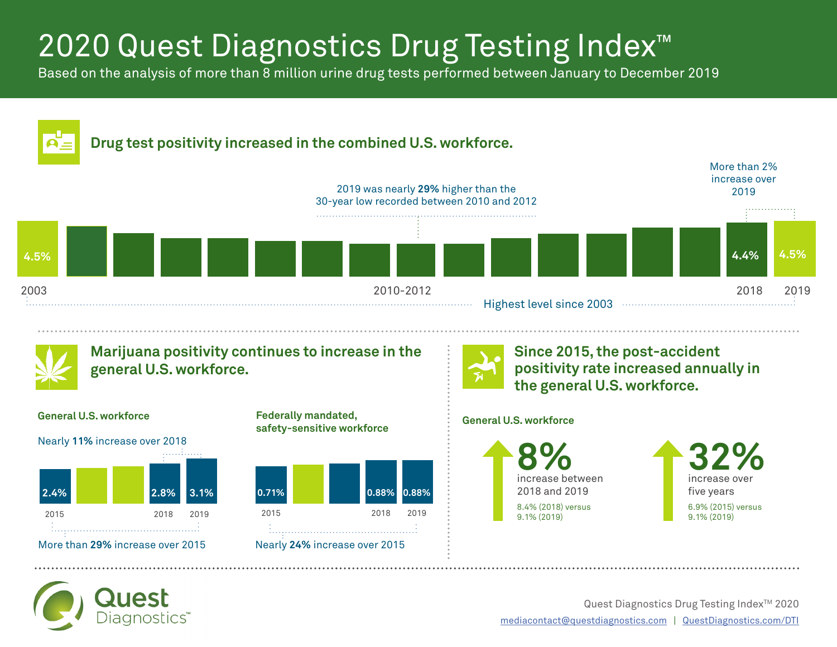# 2020 Quest Diagnostics Drug Testing Index<sup>™</sup>

Based on the analysis of more than 8 million urine drug tests performed between January to December 2019





Quest Diagnostics Drug Testing Index<sup>™</sup> 2020 [mediacontact@questdiagnostics.com](mailto:mediacontact%40questdiagnostics.com?subject=) | QuestDiagnostics.com/DTI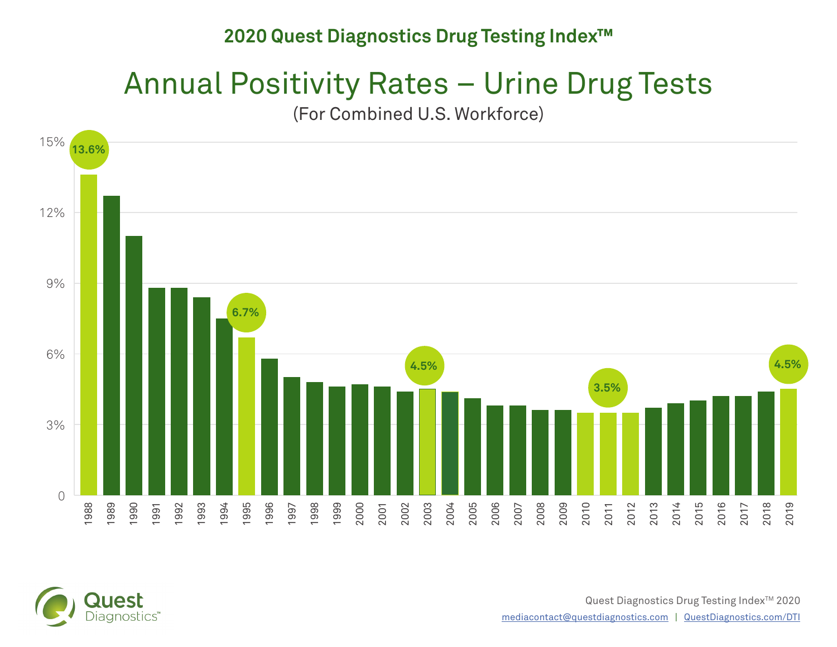#### **2020 Quest Diagnostics Drug Testing Index™**

## Annual Positivity Rates – Urine Drug Tests

(For Combined U.S. Workforce)